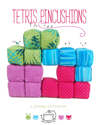

# **a sewing pattern by**

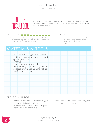

These simple cube pincushions are made to look like Tetris blocks from the video game of the same name. The pattern can easily be enlarged for plushies or pillows.

#### DIFFICULTY: O

These are made with only straight lines, but there's a bit of hand sewing and also working with sharp corners which might not be great for newbies.

#### makes:

one pincushion that's 4" wide, 4" tall, and 2" deep (depending on which block configuration you make)

# **materials & tools**

**• ¼ yd. of light weight fabric (broadcloth or linen would work – I used quilting cotton) • Batting • Matching sewing thread • Basic sewing tools (sewing machine, scissors, iron, needles, pins, fabric marker, seam ripper)**

#### **before you begin:**

- **1.** Print out the project pattern, page 8 -- page 9 is just for reference
- **2.** Lay out the pattern pieces on your fabric and cut them out
- **3.** Mark the fabric pieces with the guidelines from the pattern

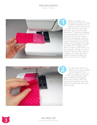.<br>SEWING TUTORIAL



Before we begin, you should know that the least headache inducing way of sewing a cube is to sew only to each corner of the cube, and don't sew over the seam allowances. The pattern guideline has circles at each corner of the squares that form the cubes. For each sewing step, only sew from circle to circle for the best results. Hopefully you'll see how it helps as you progress through the steps. So! To begin, you'll want to make a chain from 4 of your squares, sewing one side to another until you have a line of 4 squares. As I said, sew them together along the edge from circle to circle and no further. Before<br>
should l<br>
headach<br>
sewing a<br>
to each corr<br>
allowances. The<br>
allowances at<br>
squares that<br>
For each sewi<br>
from circle to<br>
results. Hopef<br>
it helps as you<br>
the steps. So!<br>
want to make<br>
your squares,<br>
another until<br>
4



Our goal from here is to make a lower-case t shape with the squares. Sew another square to the side of the second square down. Again, starting and stopping at the circle marks. With any luck you should start and stop where the seams are from your previous step.

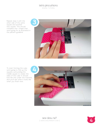sewing tutorial

Repeat step 2 with the other side of the same square and another new square. This should complete the t shape that we're going for as illustrated in the pattern guideline.



To start forming the cube, we're going to fold up the squares surrounding the middle square to create the sides of the cube. It should look like this under the machine, and you'll see what it looks like when you finish next:



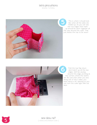sewing tutorial



This is what it should look like when all the sides are folded up. As you can see, the two edges that meet up should be sewn together all the way around the cube. That just leaves the top to be sewn!



Fold the top flap down and match up all the raw edges. We'll be sewing around this edge, pivoting at the corners where the seams are. Be sure that when you sew along one of the 3 sides, you leave about a 1½" opening so you can turn the cube right side out later.



**5** sew desu ne?<br>I www.cholyknight.co | www.cholyknight.com |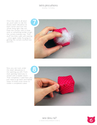sewing tutorial

Once the cube is all sewn up, you'll want to clip the excess seam allowance at each corner and turn the whole thing right side out. Poke the corners with a chopstick or something similar to get the corners looking crisp. Then stuff the little cube with batting – once again, really focusing on getting the corners stuffed nice and firm.



Now you can tuck under the seam allowances in the opening you left. From that opening, hand sew it closed with a ladder stitch. That completes 1 cube! Now you just need to go back and repeat steps 1-8 three more times to create 4 completed cubes.



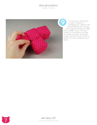sewing tutorial



To finish your Tetris block, it's just a matter of arranging your cubes in the desired shape, then sewing them together along the edges with a ladder stitch. The illustrations in the pattern will help you make sure your placement is right and remind you where to stitch. And that completes your block!

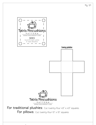